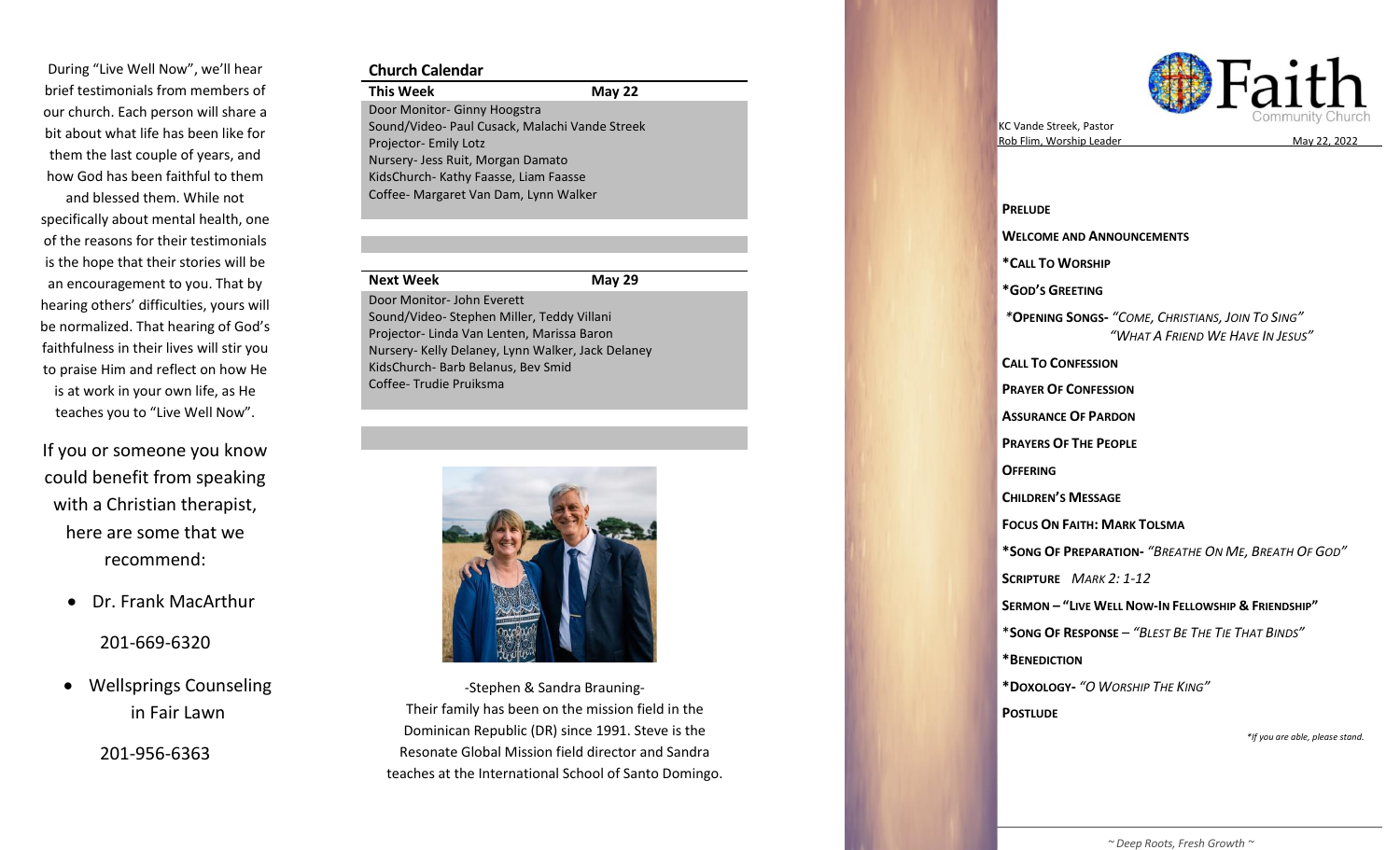During "Live Well Now" , we'll hear brief testimonials from members of our church. Each person will share a bit about what life has been like for them the last couple of years, and how God has been faithful to them

and blessed them. While not specifically about mental health, one of the reasons for their testimonials is the hope that their stories will be an encouragement to you. That by hearing others' difficulties, yours will be normalized. That hearing of God's faithfulness in their lives will stir you to praise Him and reflect on how He is at work in your own life, as He teaches you to "Live Well Now".

If you or someone you know could benefit from speaking with a Christian therapist, here are some that we recommend:

• Dr. Frank MacArthur

201 -669 -6320

• Wellsprings Counseling in Fair Lawn

201 -956 -6363

#### **Church Calendar**

**This Week May 22** Door Monitor - Ginny Hoogstra Sound/Video - Paul Cusack, Malachi Vande Streek Projector- Emily Lotz Nursery - Jess Ruit, Morgan Damato KidsChurch - Kathy Faasse, Liam Faasse Coffee - Margaret Van Dam, Lynn Walker

#### **Next Week**

**2 9** Door Monitor - John Everett Sound/Video - Stephen Miller, Teddy Villani Projecto r - Linda Van Lenten, Marissa Baron Nursery - Kelly Delaney, Lynn Walker, Jack Delaney KidsChurch - Barb Belanus, Bev Smid Coffee - Trudie Pruiksma



Their family has been on the mission field in the Resonate Global Mission field director and Sandra -Stephen & Sandra Brauning - Dominican Republic (DR) since 1991. Steve is the teaches at the International School of Santo Domingo.



KC Vande Streek , Pastor Rob Flim, Worship Leader



**PRELUDE WELCOME AND ANNOUNCEMENTS \* CALL TO WORSHIP \*GOD 'S GREETING** *\** **OPENING SONG S -** *"COME, CHRISTIANS, JOIN TO SING " " WHAT A FRIEND WE HAVE IN JESUS "* **CALL TO CONFESSION PRAYER OF CONFESSION ASSURANCE OF PARDON PRAYERS OF THE PEOPLE OFFERING CHILDREN 'S MESSAGE FOCUS ON FAITH: MARK TOLSMA \*SONG OF PREPARATION -** *"BREATHE ON M E, BREATH OF GOD "* **SCRIPTURE**  *MARK 2: 1 -12* **SERMON – " LIVE WELL NOW - IN FELLOWSHIP & FRIENDSHIP "** \* **SONG OF RESPONSE** – *"BLEST BE THE TIE THAT BINDS "* **\*BENEDICTION \*DOXOLOGY -** *"O WORSHIP THE KING "* **POSTLUDE** *\*If you are able, please stand.*